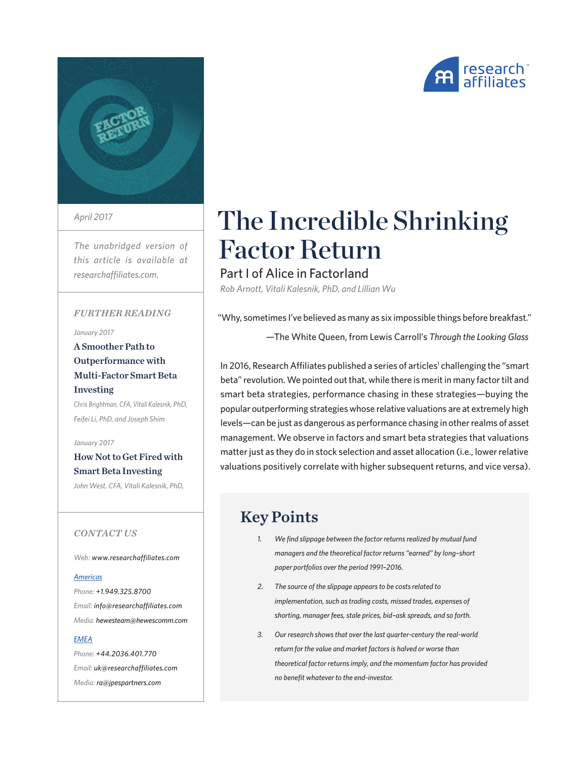



*April 2017*

*The unabridged version of this article is available at researchaffiliates.com.*

#### *FURTHER READING*

#### *January 2017*

A Smoother Path to Outperformance with Multi-Factor Smart Beta Investing

*Chris Brightman, CFA, Vitali Kalesnik, PhD, Feifei Li, PhD, and Joseph Shim*

*January 2017*

#### How Not to Get Fired with Smart Beta Investing

*John West, CFA, Vitali Kalesnik, PhD,* 

#### *CONTACT US*

*Web: www.researchaffiliates.com*

#### *Americas*

*Phone: +1.949.325.8700 Email: info@researchaffiliates.com Media: hewesteam@hewescomm.com*

#### *EMEA*

*Phone: +44.2036.401.770 Email: uk@researchaffiliates.com Media: ra@jpespartners.com*

# The Incredible Shrinking Factor Return

Part I of Alice in Factorland *Rob Arnott, Vitali Kalesnik, PhD, and Lillian Wu*

"Why, sometimes I've believed as many as six impossible things before breakfast."

—The White Queen, from Lewis Carroll's *Through the Looking Glass*

In 2016, Research Affiliates published a series of articles<sup>1</sup> challenging the "smart beta" revolution. We pointed out that, while there is merit in many factor tilt and smart beta strategies, performance chasing in these strategies—buying the popular outperforming strategies whose relative valuations are at extremely high levels—can be just as dangerous as performance chasing in other realms of asset management. We observe in factors and smart beta strategies that valuations matter just as they do in stock selection and asset allocation (i.e., lower relative valuations positively correlate with higher subsequent returns, and vice versa).

### Key Points

- *1. We find slippage between the factor returns realized by mutual fund managers and the theoretical factor returns "earned" by long–short paper portfolios over the period 1991–2016.*
- *2. The source of the slippage appears to be costs related to implementation, such as trading costs, missed trades, expenses of shorting, manager fees, stale prices, bid–ask spreads, and so forth.*
- *3. Our research shows that over the last quarter-century the real-world return for the value and market factors is halved or worse than theoretical factor returns imply, and the momentum factor has provided no benefit whatever to the end-investor.*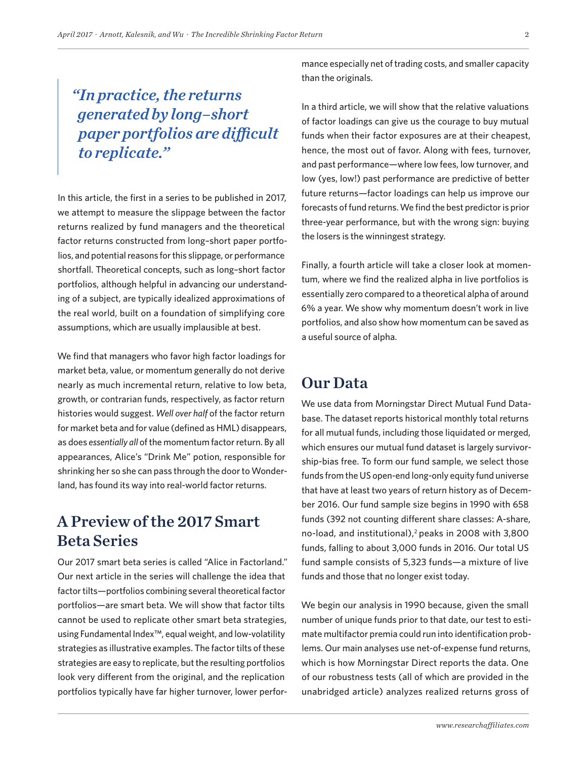# *"In practice, the returns generated by long–short paper portfolios are difficult to replicate."*

In this article, the first in a series to be published in 2017, we attempt to measure the slippage between the factor returns realized by fund managers and the theoretical factor returns constructed from long–short paper portfolios, and potential reasons for this slippage, or performance shortfall. Theoretical concepts, such as long–short factor portfolios, although helpful in advancing our understanding of a subject, are typically idealized approximations of the real world, built on a foundation of simplifying core assumptions, which are usually implausible at best.

We find that managers who favor high factor loadings for market beta, value, or momentum generally do not derive nearly as much incremental return, relative to low beta, growth, or contrarian funds, respectively, as factor return histories would suggest. *Well over half* of the factor return for market beta and for value (defined as HML) disappears, as does *essentially all* of the momentum factor return. By all appearances, Alice's "Drink Me" potion, responsible for shrinking her so she can pass through the door to Wonderland, has found its way into real-world factor returns.

# A Preview of the 2017 Smart Beta Series

Our 2017 smart beta series is called "Alice in Factorland." Our next article in the series will challenge the idea that factor tilts—portfolios combining several theoretical factor portfolios—are smart beta. We will show that factor tilts cannot be used to replicate other smart beta strategies, using Fundamental Index™, equal weight, and low-volatility strategies as illustrative examples. The factor tilts of these strategies are easy to replicate, but the resulting portfolios look very different from the original, and the replication portfolios typically have far higher turnover, lower performance especially net of trading costs, and smaller capacity than the originals.

In a third article, we will show that the relative valuations of factor loadings can give us the courage to buy mutual funds when their factor exposures are at their cheapest, hence, the most out of favor. Along with fees, turnover, and past performance—where low fees, low turnover, and low (yes, low!) past performance are predictive of better future returns—factor loadings can help us improve our forecasts of fund returns. We find the best predictor is prior three-year performance, but with the wrong sign: buying the losers is the winningest strategy.

Finally, a fourth article will take a closer look at momentum, where we find the realized alpha in live portfolios is essentially zero compared to a theoretical alpha of around 6% a year. We show why momentum doesn't work in live portfolios, and also show how momentum can be saved as a useful source of alpha.

### Our Data

We use data from Morningstar Direct Mutual Fund Database. The dataset reports historical monthly total returns for all mutual funds, including those liquidated or merged, which ensures our mutual fund dataset is largely survivorship-bias free. To form our fund sample, we select those funds from the US open-end long-only equity fund universe that have at least two years of return history as of December 2016. Our fund sample size begins in 1990 with 658 funds (392 not counting different share classes: A-share, no-load, and institutional), $2$  peaks in 2008 with 3,800 funds, falling to about 3,000 funds in 2016. Our total US fund sample consists of 5,323 funds—a mixture of live funds and those that no longer exist today.

We begin our analysis in 1990 because, given the small number of unique funds prior to that date, our test to estimate multifactor premia could run into identification problems. Our main analyses use net-of-expense fund returns, which is how Morningstar Direct reports the data. One of our robustness tests (all of which are provided in the unabridged article) analyzes realized returns gross of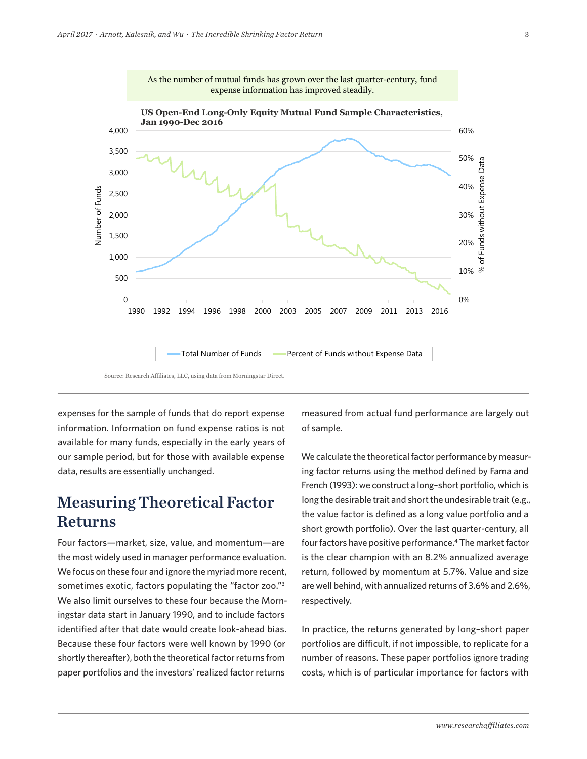

Source: Research Affiliates, LLC, using data from Morningstar Direct.

expenses for the sample of funds that do report expense measured from act information. Information on fund expense ratios is not available for many funds, especially in the early years of our sample period, but for those with available expense data, results are essentially unchanged.

### Measuring Theoretical Factor Returns

Four factors—market, size, value, and momentum—are the most widely used in manager performance evaluation. We focus on these four and ignore the myriad more recent, sometimes exotic, factors populating the "factor zoo."3 We also limit ourselves to these four because the Morningstar data start in January 1990, and to include factors identified after that date would create look-ahead bias. Because these four factors were well known by 1990 (or shortly thereafter), both the theoretical factor returns from paper portfolios and the investors' realized factor returns

measured from actual fund performance are largely out of sample.

We calculate the theoretical factor performance by measuring factor returns using the method defined by Fama and French (1993): we construct a long–short portfolio, which is long the desirable trait and short the undesirable trait (e.g., the value factor is defined as a long value portfolio and a short growth portfolio). Over the last quarter-century, all four factors have positive performance.4 The market factor is the clear champion with an 8.2% annualized average return, followed by momentum at 5.7%. Value and size are well behind, with annualized returns of 3.6% and 2.6%, respectively.

In practice, the returns generated by long–short paper portfolios are difficult, if not impossible, to replicate for a number of reasons. These paper portfolios ignore trading costs, which is of particular importance for factors with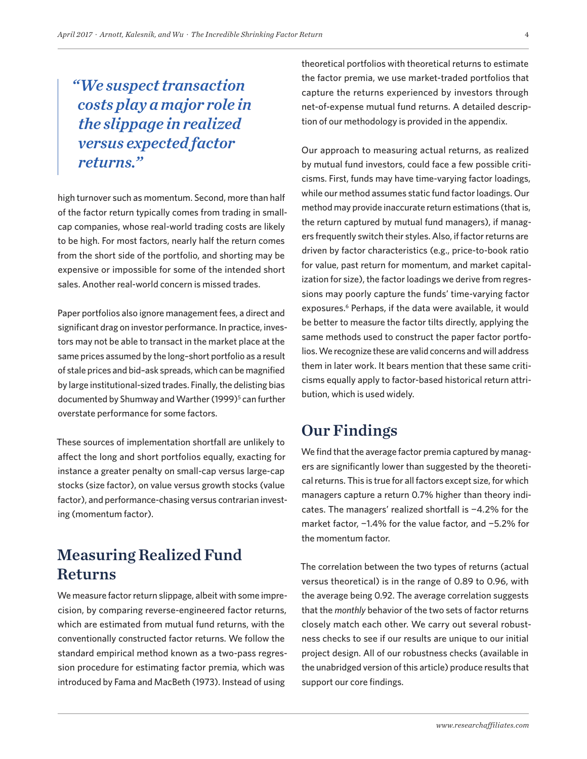# *"We suspect transaction costs play a major role in the slippage in realized versus expected factor returns."*

high turnover such as momentum. Second, more than half of the factor return typically comes from trading in smallcap companies, whose real-world trading costs are likely to be high. For most factors, nearly half the return comes from the short side of the portfolio, and shorting may be expensive or impossible for some of the intended short sales. Another real-world concern is missed trades.

Paper portfolios also ignore management fees, a direct and significant drag on investor performance. In practice, investors may not be able to transact in the market place at the same prices assumed by the long–short portfolio as a result of stale prices and bid–ask spreads, which can be magnified by large institutional-sized trades. Finally, the delisting bias documented by Shumway and Warther (1999)<sup>5</sup> can further overstate performance for some factors.

These sources of implementation shortfall are unlikely to affect the long and short portfolios equally, exacting for instance a greater penalty on small-cap versus large-cap stocks (size factor), on value versus growth stocks (value factor), and performance-chasing versus contrarian investing (momentum factor).

# Measuring Realized Fund Returns

We measure factor return slippage, albeit with some imprecision, by comparing reverse-engineered factor returns, which are estimated from mutual fund returns, with the conventionally constructed factor returns. We follow the standard empirical method known as a two-pass regression procedure for estimating factor premia, which was introduced by Fama and MacBeth (1973). Instead of using

theoretical portfolios with theoretical returns to estimate the factor premia, we use market-traded portfolios that capture the returns experienced by investors through net-of-expense mutual fund returns. A detailed description of our methodology is provided in the appendix.

Our approach to measuring actual returns, as realized by mutual fund investors, could face a few possible criticisms. First, funds may have time-varying factor loadings, while our method assumes static fund factor loadings. Our method may provide inaccurate return estimations (that is, the return captured by mutual fund managers), if managers frequently switch their styles. Also, if factor returns are driven by factor characteristics (e.g., price-to-book ratio for value, past return for momentum, and market capitalization for size), the factor loadings we derive from regressions may poorly capture the funds' time-varying factor exposures.<sup>6</sup> Perhaps, if the data were available, it would be better to measure the factor tilts directly, applying the same methods used to construct the paper factor portfolios. We recognize these are valid concerns and will address them in later work. It bears mention that these same criticisms equally apply to factor-based historical return attribution, which is used widely.

### Our Findings

We find that the average factor premia captured by managers are significantly lower than suggested by the theoretical returns. This is true for all factors except size, for which managers capture a return 0.7% higher than theory indicates. The managers' realized shortfall is −4.2% for the market factor, −1.4% for the value factor, and −5.2% for the momentum factor.

The correlation between the two types of returns (actual versus theoretical) is in the range of 0.89 to 0.96, with the average being 0.92. The average correlation suggests that the *monthly* behavior of the two sets of factor returns closely match each other. We carry out several robustness checks to see if our results are unique to our initial project design. All of our robustness checks (available in the unabridged version of this article) produce results that support our core findings.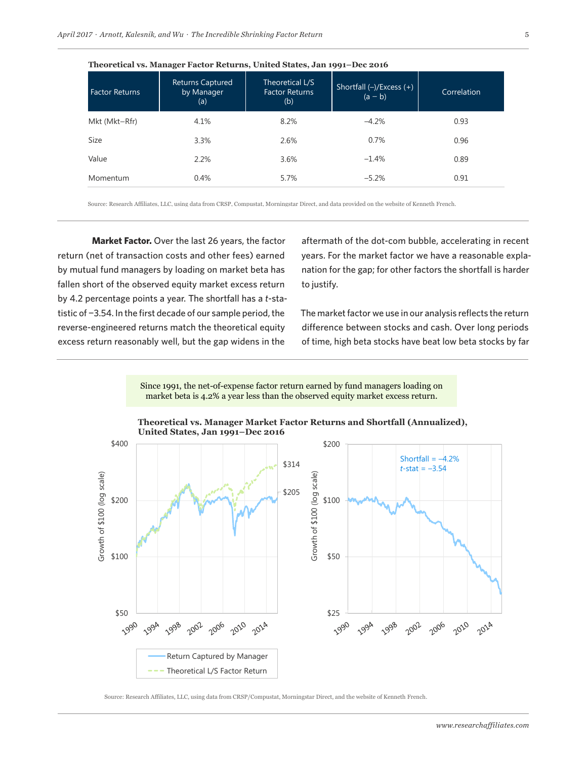| <b>Factor Returns</b> | <b>Returns Captured</b><br>by Manager<br>(a) | Theoretical L/S<br><b>Factor Returns</b><br>(b) | Shortfall $(-)/$ Excess $(+)$<br>$(a - b)$ | Correlation |
|-----------------------|----------------------------------------------|-------------------------------------------------|--------------------------------------------|-------------|
| Mkt (Mkt-Rfr)         | 4.1%                                         | 8.2%                                            | $-4.2%$                                    | 0.93        |
| Size                  | 3.3%                                         | 2.6%                                            | 0.7%                                       | 0.96        |
| Value                 | 2.2%                                         | 3.6%                                            | $-1.4%$                                    | 0.89        |
| Momentum              | 0.4%                                         | 5.7%                                            | $-5.2%$                                    | 0.91        |

**Theoretical vs. Manager Factor Returns, United States, Jan 1991–Dec 2016**

Any use of the above content is subject to all important legal disclosures, disclosures, and terms of use found at

Source: Research Affiliates, LLC, using data from CRSP, Compustat, Morningstar Direct, and data provided on the website of Kenneth French.

**Market Factor.** Over the last 26 years, the factor return (net of transaction costs and other fees) earned by mutual fund managers by loading on market beta has fallen short of the observed equity market excess return by 4.2 percentage points a year. The shortfall has a *t*-statistic of −3.54. In the first decade of our sample period, the reverse-engineered returns match the theoretical equity excess return reasonably well, but the gap widens in the

aftermath of the dot-com bubble, accelerating in recent years. For the market factor we have a reasonable explanation for the gap; for other factors the shortfall is harder to justify.

The market factor we use in our analysis reflects the return difference between stocks and cash. Over long periods of time, high beta stocks have beat low beta stocks by far

Since 1991, the net-of-expense factor return earned by fund managers loading on market beta is 4.2% a year less than the observed equity market excess return.



#### **Theoretical vs. Manager Market Factor Returns and Shortfall (Annualized), United States, Jan 1991–Dec 2016**

Source: Research Affiliates, LLC, using data from CRSP/Compustat, Morningstar Direct, and the website of Kenneth French.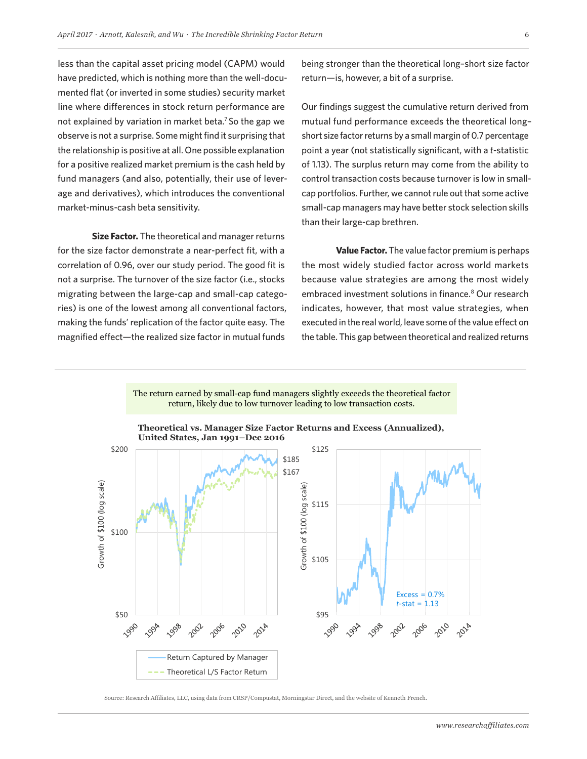less than the capital asset pricing model (CAPM) would have predicted, which is nothing more than the well-documented flat (or inverted in some studies) security market line where differences in stock return performance are not explained by variation in market beta.7 So the gap we observe is not a surprise. Some might find it surprising that the relationship is positive at all. One possible explanation for a positive realized market premium is the cash held by fund managers (and also, potentially, their use of leverage and derivatives), which introduces the conventional market-minus-cash beta sensitivity.

**Size Factor.** The theoretical and manager returns for the size factor demonstrate a near-perfect fit, with a correlation of 0.96, over our study period. The good fit is not a surprise. The turnover of the size factor (i.e., stocks migrating between the large-cap and small-cap categories) is one of the lowest among all conventional factors, making the funds' replication of the factor quite easy. The magnified effect—the realized size factor in mutual funds

being stronger than the theoretical long–short size factor return—is, however, a bit of a surprise.

Our findings suggest the cumulative return derived from mutual fund performance exceeds the theoretical long– short size factor returns by a small margin of 0.7 percentage point a year (not statistically significant, with a *t*-statistic of 1.13). The surplus return may come from the ability to control transaction costs because turnover is low in smallcap portfolios. Further, we cannot rule out that some active small-cap managers may have better stock selection skills than their large-cap brethren.

**Value Factor.** The value factor premium is perhaps the most widely studied factor across world markets because value strategies are among the most widely embraced investment solutions in finance.<sup>8</sup> Our research indicates, however, that most value strategies, when executed in the real world, leave some of the value effect on the table. This gap between theoretical and realized returns



return, likely due to low turnover leading to low transaction costs.

The return earned by small-cap fund managers slightly exceeds the theoretical factor

Source: Research Affiliates, LLC, using data from CRSP/Compustat, Morningstar Direct, and the website of Kenneth French.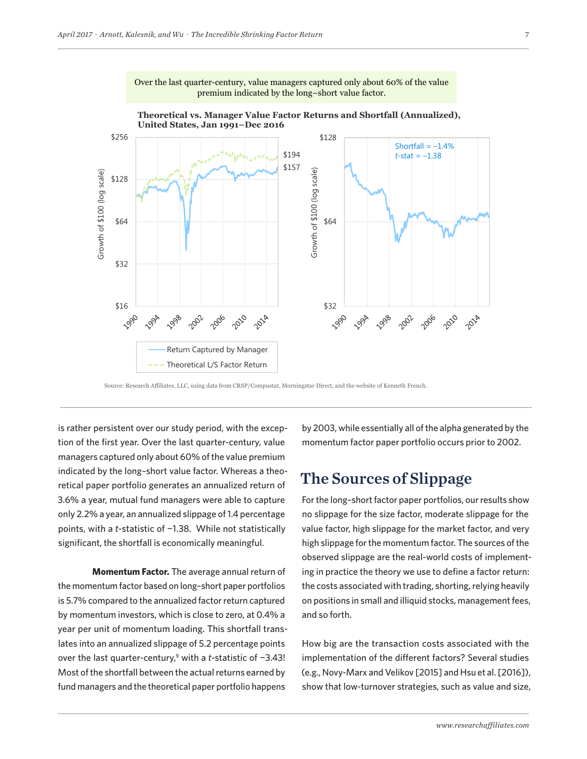

Over the last quarter-century, value managers captured only about 60% of the value premium indicated by the long–short value factor.

Source: Research Affiliates, LLC, using data from CRSP/Compustat, Morningstar Direct, and the website of Kenneth French.

is rather persistent over our study period, with the excep- by 2003, w tion of the first year. Over the last quarter-century, value managers captured only about 60% of the value premium indicated by the long–short value factor. Whereas a theoretical paper portfolio generates an annualized return of 3.6% a year, mutual fund managers were able to capture only 2.2% a year, an annualized slippage of 1.4 percentage points, with a *t*-statistic of −1.38. While not statistically significant, the shortfall is economically meaningful.

**Momentum Factor.** The average annual return of the momentum factor based on long–short paper portfolios is 5.7% compared to the annualized factor return captured by momentum investors, which is close to zero, at 0.4% a year per unit of momentum loading. This shortfall translates into an annualized slippage of 5.2 percentage points over the last quarter-century,<sup>9</sup> with a *t*-statistic of -3.43! Most of the shortfall between the actual returns earned by fund managers and the theoretical paper portfolio happens

by 2003, while essentially all of the alpha generated by the momentum factor paper portfolio occurs prior to 2002.

### The Sources of Slippage

For the long–short factor paper portfolios, our results show no slippage for the size factor, moderate slippage for the value factor, high slippage for the market factor, and very high slippage for the momentum factor. The sources of the observed slippage are the real-world costs of implementing in practice the theory we use to define a factor return: the costs associated with trading, shorting, relying heavily on positions in small and illiquid stocks, management fees, and so forth.

How big are the transaction costs associated with the implementation of the different factors? Several studies (e.g., Novy-Marx and Velikov [2015] and Hsu et al. [2016]), show that low-turnover strategies, such as value and size,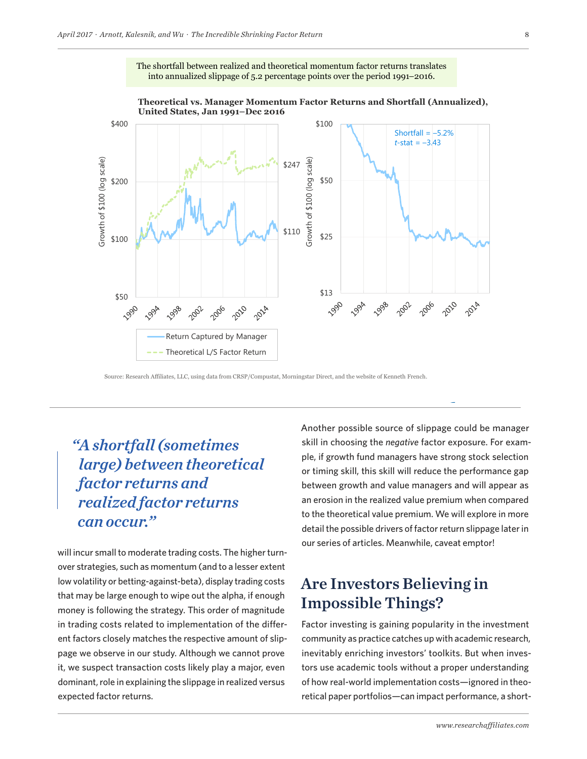

The shortfall between realized and theoretical momentum factor returns translates into annualized slippage of 5.2 percentage points over the period 1991–2016.

Source: Research Affiliates, LLC, using data from CRSP/Compustat, Morningstar Direct, and the website of Kenneth French.

Any use of the above content is subject to all important legal disclosures, disclosures, and terms of use found at

# *"A shortfall (sometimes large) between theoretical factor returns and realized factor returns can occur."*

will incur small to moderate trading costs. The higher turnover strategies, such as momentum (and to a lesser extent low volatility or betting-against-beta), display trading costs that may be large enough to wipe out the alpha, if enough money is following the strategy. This order of magnitude in trading costs related to implementation of the different factors closely matches the respective amount of slippage we observe in our study. Although we cannot prove it, we suspect transaction costs likely play a major, even dominant, role in explaining the slippage in realized versus expected factor returns.

Another possible source of slippage could be manager skill in choosing the *negative* factor exposure. For example, if growth fund managers have strong stock selection or timing skill, this skill will reduce the performance gap between growth and value managers and will appear as an erosion in the realized value premium when compared to the theoretical value premium. We will explore in more detail the possible drivers of factor return slippage later in our series of articles. Meanwhile, caveat emptor!

# Are Investors Believing in Impossible Things?

Factor investing is gaining popularity in the investment community as practice catches up with academic research, inevitably enriching investors' toolkits. But when investors use academic tools without a proper understanding of how real-world implementation costs—ignored in theoretical paper portfolios—can impact performance, a short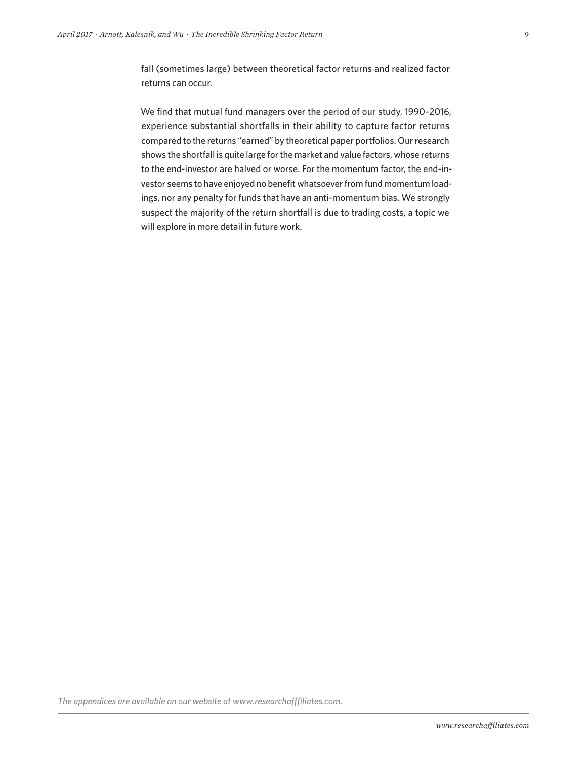fall (sometimes large) between theoretical factor returns and realized factor returns can occur.

We find that mutual fund managers over the period of our study, 1990–2016, experience substantial shortfalls in their ability to capture factor returns compared to the returns "earned" by theoretical paper portfolios. Our research shows the shortfall is quite large for the market and value factors, whose returns to the end-investor are halved or worse. For the momentum factor, the end-investor seems to have enjoyed no benefit whatsoever from fund momentum loadings, nor any penalty for funds that have an anti-momentum bias. We strongly suspect the majority of the return shortfall is due to trading costs, a topic we will explore in more detail in future work.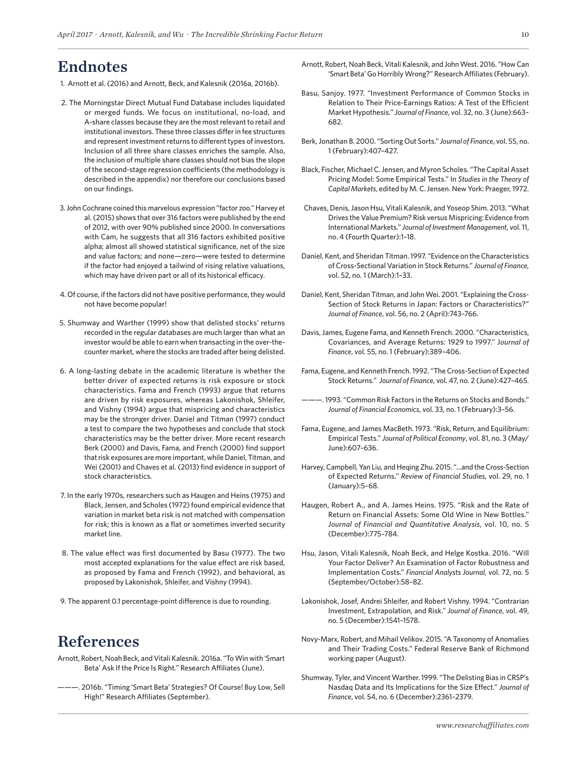### Endnotes

- 1. Arnott et al. (2016) and Arnott, Beck, and Kalesnik (2016a, 2016b).
- 2. The Morningstar Direct Mutual Fund Database includes liquidated or merged funds. We focus on institutional, no-load, and A-share classes because they are the most relevant to retail and institutional investors. These three classes differ in fee structures and represent investment returns to different types of investors. Inclusion of all three share classes enriches the sample. Also, the inclusion of multiple share classes should not bias the slope of the second-stage regression coefficients (the methodology is described in the appendix) nor therefore our conclusions based on our findings.
- 3. John Cochrane coined this marvelous expression "factor zoo." Harvey et al. (2015) shows that over 316 factors were published by the end of 2012, with over 90% published since 2000. In conversations with Cam, he suggests that all 316 factors exhibited positive alpha; almost all showed statistical significance, net of the size and value factors; and none—zero—were tested to determine if the factor had enjoyed a tailwind of rising relative valuations, which may have driven part or all of its historical efficacy.
- 4. Of course, if the factors did not have positive performance, they would not have become popular!
- 5. Shumway and Warther (1999) show that delisted stocks' returns recorded in the regular databases are much larger than what an investor would be able to earn when transacting in the over-thecounter market, where the stocks are traded after being delisted.
- 6. A long-lasting debate in the academic literature is whether the better driver of expected returns is risk exposure or stock characteristics. Fama and French (1993) argue that returns are driven by risk exposures, whereas Lakonishok, Shleifer, and Vishny (1994) argue that mispricing and characteristics may be the stronger driver. Daniel and Titman (1997) conduct a test to compare the two hypotheses and conclude that stock characteristics may be the better driver. More recent research Berk (2000) and Davis, Fama, and French (2000) find support that risk exposures are more important, while Daniel, Titman, and Wei (2001) and Chaves et al. (2013) find evidence in support of stock characteristics.
- 7. In the early 1970s, researchers such as Haugen and Heins (1975) and Black, Jensen, and Scholes (1972) found empirical evidence that variation in market beta risk is not matched with compensation for risk; this is known as a flat or sometimes inverted security market line.
- 8. The value effect was first documented by Basu (1977). The two most accepted explanations for the value effect are risk based, as proposed by Fama and French (1992), and behavioral, as proposed by Lakonishok, Shleifer, and Vishny (1994).
- 9. The apparent 0.1 percentage-point difference is due to rounding.

### **References**

- Arnott, Robert, Noah Beck, and Vitali Kalesnik. 2016a. "To Win with 'Smart Beta' Ask If the Price Is Right." Research Affiliates (June).
- ———. 2016b. "Timing 'Smart Beta' Strategies? Of Course! Buy Low, Sell High!" Research Affiliates (September).
- Arnott, Robert, Noah Beck, Vitali Kalesnik, and John West. 2016. "How Can 'Smart Beta' Go Horribly Wrong?" Research Affiliates (February).
- Basu, Sanjoy. 1977. "Investment Performance of Common Stocks in Relation to Their Price-Earnings Ratios: A Test of the Efficient Market Hypothesis." *Journal of Finance*, vol. 32, no. 3 (June):663– 682.
- Berk, Jonathan B. 2000. "Sorting Out Sorts." *Journal of Finance*, vol. 55, no. 1 (February):407–427.
- Black, Fischer, Michael C. Jensen, and Myron Scholes. "The Capital Asset Pricing Model: Some Empirical Tests." In *Studies in the Theory of Capital Markets*, edited by M. C. Jensen. New York: Praeger, 1972.
- Chaves, Denis, Jason Hsu, Vitali Kalesnik, and Yoseop Shim. 2013. "What Drives the Value Premium? Risk versus Mispricing: Evidence from International Markets." *Journal of Investment Management*, vol. 11, no. 4 (Fourth Quarter):1–18.
- Daniel, Kent, and Sheridan Titman. 1997. "Evidence on the Characteristics of Cross-Sectional Variation in Stock Returns." *Journal of Finance,*  vol. 52, no. 1 (March):1–33.
- Daniel, Kent, Sheridan Titman, and John Wei. 2001. "Explaining the Cross-Section of Stock Returns in Japan: Factors or Characteristics?" *Journal of Finance*, vol. 56, no. 2 (April):743–766.
- Davis, James, Eugene Fama, and Kenneth French. 2000. "Characteristics, Covariances, and Average Returns: 1929 to 1997." J*ournal of Finance*, vol. 55, no. 1 (February):389–406.
- Fama, Eugene, and Kenneth French. 1992. "The Cross-Section of Expected Stock Returns." *Journal of Finance*, vol. 47, no. 2 (June):427–465.
- ———. 1993. "Common Risk Factors in the Returns on Stocks and Bonds." *Journal of Financial Economics*, vol. 33, no. 1 (February):3–56.
- Fama, Eugene, and James MacBeth. 1973. "Risk, Return, and Equilibrium: Empirical Tests." *Journal of Political Economy*, vol. 81, no. 3 (May/ June):607–636.
- Harvey, Campbell, Yan Liu, and Heqing Zhu. 2015. "...and the Cross-Section of Expected Returns." *Review of Financial Studies*, vol. 29, no. 1 (January):5–68.
- Haugen, Robert A., and A. James Heins. 1975. "Risk and the Rate of Return on Financial Assets: Some Old Wine in New Bottles." *Journal of Financial and Quantitative Analysis*, vol. 10, no. 5 (December):775–784.
- Hsu, Jason, Vitali Kalesnik, Noah Beck, and Helge Kostka. 2016. "Will Your Factor Deliver? An Examination of Factor Robustness and Implementation Costs." *Financial Analysts Journal,* vol. 72, no. 5 (September/October):58–82.
- Lakonishok, Josef, Andrei Shleifer, and Robert Vishny. 1994. "Contrarian Investment, Extrapolation, and Risk." *Journal of Finance*, vol. 49, no. 5 (December):1541–1578.
- Novy-Marx, Robert, and Mihail Velikov. 2015. "A Taxonomy of Anomalies and Their Trading Costs." Federal Reserve Bank of Richmond working paper (August).
- Shumway, Tyler, and Vincent Warther. 1999. "The Delisting Bias in CRSP's Nasdaq Data and Its Implications for the Size Effect." *Journal of Finance*, vol. 54, no. 6 (December):2361–2379.